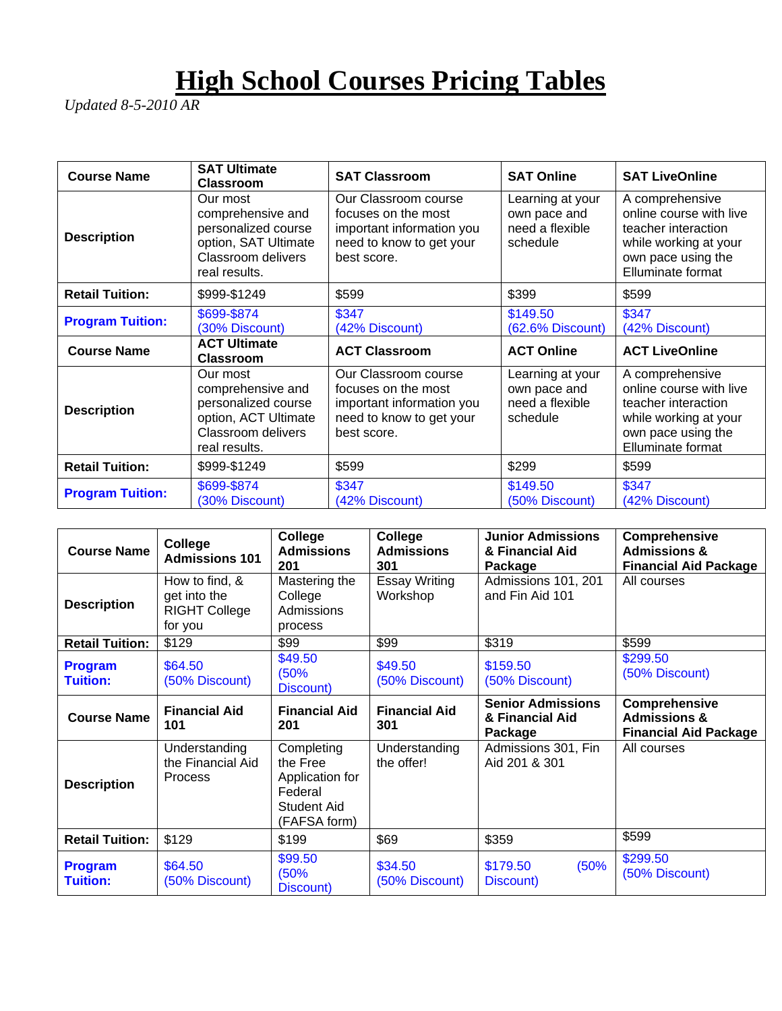## **High School Courses Pricing Tables**

*Updated 8-5-2010 AR* 

| <b>Course Name</b>      | <b>SAT Ultimate</b><br><b>Classroom</b>                                                                                    | <b>SAT Classroom</b>                                                                                                | <b>SAT Online</b>                                               | <b>SAT LiveOnline</b>                                                                                                                 |
|-------------------------|----------------------------------------------------------------------------------------------------------------------------|---------------------------------------------------------------------------------------------------------------------|-----------------------------------------------------------------|---------------------------------------------------------------------------------------------------------------------------------------|
| <b>Description</b>      | Our most<br>comprehensive and<br>personalized course<br>option, SAT Ultimate<br>Classroom delivers<br>real results.        | Our Classroom course<br>focuses on the most<br>important information you<br>need to know to get your<br>best score. | Learning at your<br>own pace and<br>need a flexible<br>schedule | A comprehensive<br>online course with live<br>teacher interaction<br>while working at your<br>own pace using the<br>Elluminate format |
| <b>Retail Tuition:</b>  | \$999-\$1249                                                                                                               | \$599                                                                                                               | \$399                                                           | \$599                                                                                                                                 |
| <b>Program Tuition:</b> | \$699-\$874<br>(30% Discount)                                                                                              | \$347<br>(42% Discount)                                                                                             | \$149.50<br>(62.6% Discount)                                    | \$347<br>(42% Discount)                                                                                                               |
| <b>Course Name</b>      | <b>ACT Ultimate</b><br><b>Classroom</b>                                                                                    | <b>ACT Classroom</b>                                                                                                | <b>ACT Online</b>                                               | <b>ACT LiveOnline</b>                                                                                                                 |
| <b>Description</b>      | Our most<br>comprehensive and<br>personalized course<br>option, ACT Ultimate<br><b>Classroom delivers</b><br>real results. | Our Classroom course<br>focuses on the most<br>important information you<br>need to know to get your<br>best score. | Learning at your<br>own pace and<br>need a flexible<br>schedule | A comprehensive<br>online course with live<br>teacher interaction<br>while working at your<br>own pace using the<br>Elluminate format |
| <b>Retail Tuition:</b>  | \$999-\$1249                                                                                                               | \$599                                                                                                               | \$299                                                           | \$599                                                                                                                                 |
| <b>Program Tuition:</b> | \$699-\$874<br>(30% Discount)                                                                                              | \$347<br>(42% Discount)                                                                                             | \$149.50<br>(50% Discount)                                      | \$347<br>(42% Discount)                                                                                                               |

| <b>Course Name</b>                | College<br><b>Admissions 101</b>                                  | College<br><b>Admissions</b><br>201                                                        | College<br><b>Admissions</b><br>301 | <b>Junior Admissions</b><br>& Financial Aid<br>Package | <b>Comprehensive</b><br><b>Admissions &amp;</b><br><b>Financial Aid Package</b> |
|-----------------------------------|-------------------------------------------------------------------|--------------------------------------------------------------------------------------------|-------------------------------------|--------------------------------------------------------|---------------------------------------------------------------------------------|
| <b>Description</b>                | How to find, &<br>get into the<br><b>RIGHT College</b><br>for you | Mastering the<br>College<br>Admissions<br>process                                          | <b>Essay Writing</b><br>Workshop    | Admissions 101, 201<br>and Fin Aid 101                 | All courses                                                                     |
| <b>Retail Tuition:</b>            | \$129                                                             | \$99                                                                                       | \$99                                | \$319                                                  | \$599                                                                           |
| <b>Program</b><br><b>Tuition:</b> | \$64.50<br>(50% Discount)                                         | \$49.50<br>(50%<br>Discount)                                                               | \$49.50<br>(50% Discount)           | \$159.50<br>(50% Discount)                             | \$299.50<br>(50% Discount)                                                      |
| <b>Course Name</b>                | <b>Financial Aid</b><br>101                                       | <b>Financial Aid</b><br>201                                                                | <b>Financial Aid</b><br>301         | <b>Senior Admissions</b><br>& Financial Aid<br>Package | Comprehensive<br><b>Admissions &amp;</b><br><b>Financial Aid Package</b>        |
| <b>Description</b>                | Understanding<br>the Financial Aid<br>Process                     | Completing<br>the Free<br>Application for<br>Federal<br><b>Student Aid</b><br>(FAFSA form) | Understanding<br>the offer!         | Admissions 301, Fin<br>Aid 201 & 301                   | All courses                                                                     |
| <b>Retail Tuition:</b>            | \$129                                                             | \$199                                                                                      | \$69                                | \$359                                                  | \$599                                                                           |
| <b>Program</b><br><b>Tuition:</b> | \$64.50<br>(50% Discount)                                         | \$99.50<br>(50%<br>Discount)                                                               | \$34.50<br>(50% Discount)           | (50%<br>\$179.50<br>Discount)                          | \$299.50<br>(50% Discount)                                                      |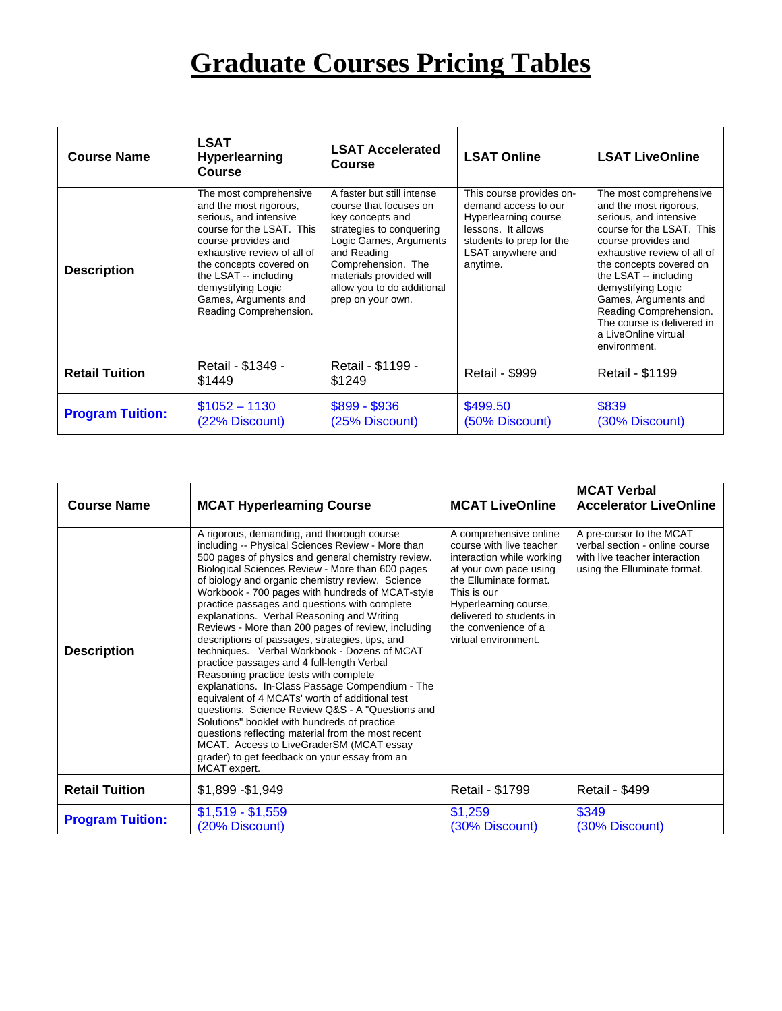## **Graduate Courses Pricing Tables**

| <b>Course Name</b>      | <b>LSAT</b><br><b>Hyperlearning</b><br><b>Course</b>                                                                                                                                                                                                                                      | <b>LSAT Accelerated</b><br>Course                                                                                                                                                                                                                 | <b>LSAT Online</b>         | <b>LSAT LiveOnline</b>                                                                                                                                                                                                                                                                                                                                          |
|-------------------------|-------------------------------------------------------------------------------------------------------------------------------------------------------------------------------------------------------------------------------------------------------------------------------------------|---------------------------------------------------------------------------------------------------------------------------------------------------------------------------------------------------------------------------------------------------|----------------------------|-----------------------------------------------------------------------------------------------------------------------------------------------------------------------------------------------------------------------------------------------------------------------------------------------------------------------------------------------------------------|
| <b>Description</b>      | The most comprehensive<br>and the most rigorous.<br>serious, and intensive<br>course for the LSAT. This<br>course provides and<br>exhaustive review of all of<br>the concepts covered on<br>the LSAT -- including<br>demystifying Logic<br>Games, Arguments and<br>Reading Comprehension. | A faster but still intense<br>course that focuses on<br>key concepts and<br>strategies to conquering<br>Logic Games, Arguments<br>and Reading<br>Comprehension. The<br>materials provided will<br>allow you to do additional<br>prep on your own. |                            | The most comprehensive<br>and the most rigorous,<br>serious, and intensive<br>course for the LSAT. This<br>course provides and<br>exhaustive review of all of<br>the concepts covered on<br>the LSAT -- including<br>demystifying Logic<br>Games, Arguments and<br>Reading Comprehension.<br>The course is delivered in<br>a LiveOnline virtual<br>environment. |
| <b>Retail Tuition</b>   | Retail - \$1349 -<br>\$1449                                                                                                                                                                                                                                                               | Retail - \$1199 -<br>\$1249                                                                                                                                                                                                                       | <b>Retail - \$999</b>      | <b>Retail - \$1199</b>                                                                                                                                                                                                                                                                                                                                          |
| <b>Program Tuition:</b> | $$1052 - 1130$<br>(22% Discount)                                                                                                                                                                                                                                                          | \$899 - \$936<br>(25% Discount)                                                                                                                                                                                                                   | \$499.50<br>(50% Discount) | \$839<br>(30% Discount)                                                                                                                                                                                                                                                                                                                                         |

| <b>Course Name</b>      | <b>MCAT Hyperlearning Course</b>                                                                                                                                                                                                                                                                                                                                                                                                                                                                                                                                                                                                                                                                                                                                                                                                                                                                                                                                                                                                               | <b>MCAT LiveOnline</b>                                                                                                                                                                                                                                  | <b>MCAT Verbal</b><br><b>Accelerator LiveOnline</b>                                                                         |
|-------------------------|------------------------------------------------------------------------------------------------------------------------------------------------------------------------------------------------------------------------------------------------------------------------------------------------------------------------------------------------------------------------------------------------------------------------------------------------------------------------------------------------------------------------------------------------------------------------------------------------------------------------------------------------------------------------------------------------------------------------------------------------------------------------------------------------------------------------------------------------------------------------------------------------------------------------------------------------------------------------------------------------------------------------------------------------|---------------------------------------------------------------------------------------------------------------------------------------------------------------------------------------------------------------------------------------------------------|-----------------------------------------------------------------------------------------------------------------------------|
| <b>Description</b>      | A rigorous, demanding, and thorough course<br>including -- Physical Sciences Review - More than<br>500 pages of physics and general chemistry review.<br>Biological Sciences Review - More than 600 pages<br>of biology and organic chemistry review. Science<br>Workbook - 700 pages with hundreds of MCAT-style<br>practice passages and questions with complete<br>explanations. Verbal Reasoning and Writing<br>Reviews - More than 200 pages of review, including<br>descriptions of passages, strategies, tips, and<br>techniques. Verbal Workbook - Dozens of MCAT<br>practice passages and 4 full-length Verbal<br>Reasoning practice tests with complete<br>explanations. In-Class Passage Compendium - The<br>equivalent of 4 MCATs' worth of additional test<br>questions. Science Review Q&S - A "Questions and<br>Solutions" booklet with hundreds of practice<br>questions reflecting material from the most recent<br>MCAT. Access to LiveGraderSM (MCAT essay<br>grader) to get feedback on your essay from an<br>MCAT expert. | A comprehensive online<br>course with live teacher<br>interaction while working<br>at your own pace using<br>the Elluminate format.<br>This is our<br>Hyperlearning course,<br>delivered to students in<br>the convenience of a<br>virtual environment. | A pre-cursor to the MCAT<br>verbal section - online course<br>with live teacher interaction<br>using the Elluminate format. |
| <b>Retail Tuition</b>   | \$1,899 - \$1,949                                                                                                                                                                                                                                                                                                                                                                                                                                                                                                                                                                                                                                                                                                                                                                                                                                                                                                                                                                                                                              | Retail - \$1799                                                                                                                                                                                                                                         | <b>Retail - \$499</b>                                                                                                       |
| <b>Program Tuition:</b> | $$1,519 - $1,559$<br>(20% Discount)                                                                                                                                                                                                                                                                                                                                                                                                                                                                                                                                                                                                                                                                                                                                                                                                                                                                                                                                                                                                            | \$1,259<br>(30% Discount)                                                                                                                                                                                                                               | \$349<br>(30% Discount)                                                                                                     |